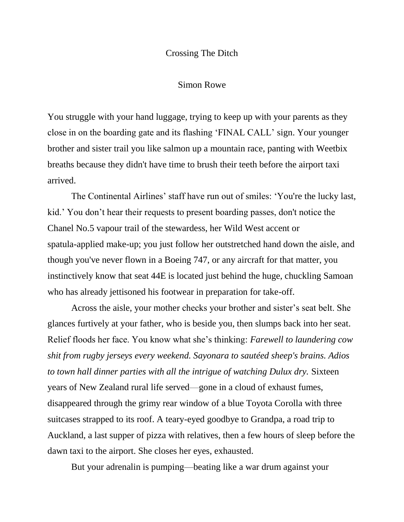## Crossing The Ditch

## Simon Rowe

You struggle with your hand luggage, trying to keep up with your parents as they close in on the boarding gate and its flashing 'FINAL CALL' sign. Your younger brother and sister trail you like salmon up a mountain race, panting with Weetbix breaths because they didn't have time to brush their teeth before the airport taxi arrived.

The Continental Airlines' staff have run out of smiles: 'You're the lucky last, kid.' You don't hear their requests to present boarding passes, don't notice the Chanel No.5 vapour trail of the stewardess, her Wild West accent or spatula-applied make-up; you just follow her outstretched hand down the aisle, and though you've never flown in a Boeing 747, or any aircraft for that matter, you instinctively know that seat 44E is located just behind the huge, chuckling Samoan who has already jettisoned his footwear in preparation for take-off.

Across the aisle, your mother checks your brother and sister's seat belt. She glances furtively at your father, who is beside you, then slumps back into her seat. Relief floods her face. You know what she's thinking: *Farewell to laundering cow shit from rugby jerseys every weekend. Sayonara to sautéed sheep's brains. Adios*  to town hall dinner parties with all the intrigue of watching Dulux dry. Sixteen years of New Zealand rural life served—gone in a cloud of exhaust fumes, disappeared through the grimy rear window of a blue Toyota Corolla with three suitcases strapped to its roof. A teary-eyed goodbye to Grandpa, a road trip to Auckland, a last supper of pizza with relatives, then a few hours of sleep before the dawn taxi to the airport. She closes her eyes, exhausted.

But your adrenalin is pumping—beating like a war drum against your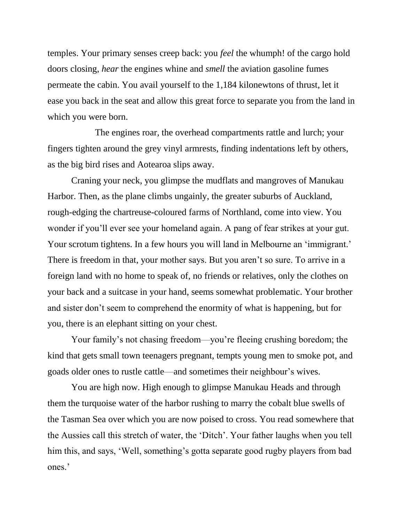temples. Your primary senses creep back: you *feel* the whumph! of the cargo hold doors closing, *hear* the engines whine and *smell* the aviation gasoline fumes permeate the cabin. You avail yourself to the 1,184 kilonewtons of thrust, let it ease you back in the seat and allow this great force to separate you from the land in which you were born.

 The engines roar, the overhead compartments rattle and lurch; your fingers tighten around the grey vinyl armrests, finding indentations left by others, as the big bird rises and Aotearoa slips away.

Craning your neck, you glimpse the mudflats and mangroves of Manukau Harbor. Then, as the plane climbs ungainly, the greater suburbs of Auckland, rough-edging the chartreuse-coloured farms of Northland, come into view. You wonder if you'll ever see your homeland again. A pang of fear strikes at your gut. Your scrotum tightens. In a few hours you will land in Melbourne an 'immigrant.' There is freedom in that, your mother says. But you aren't so sure. To arrive in a foreign land with no home to speak of, no friends or relatives, only the clothes on your back and a suitcase in your hand, seems somewhat problematic. Your brother and sister don't seem to comprehend the enormity of what is happening, but for you, there is an elephant sitting on your chest.

Your family's not chasing freedom—you're fleeing crushing boredom; the kind that gets small town teenagers pregnant, tempts young men to smoke pot, and goads older ones to rustle cattle—and sometimes their neighbour's wives.

You are high now. High enough to glimpse Manukau Heads and through them the turquoise water of the harbor rushing to marry the cobalt blue swells of the Tasman Sea over which you are now poised to cross. You read somewhere that the Aussies call this stretch of water, the 'Ditch'. Your father laughs when you tell him this, and says, 'Well, something's gotta separate good rugby players from bad ones.'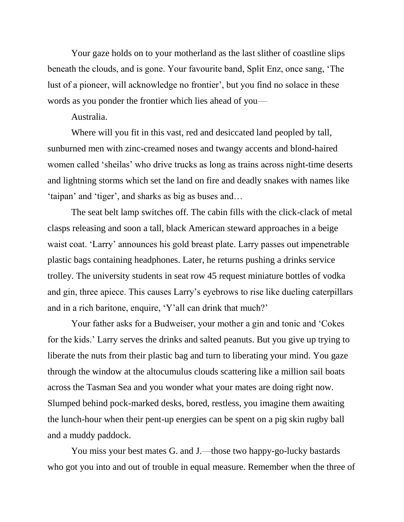Your gaze holds on to your motherland as the last slither of coastline slips beneath the clouds, and is gone. Your favourite band, Split Enz, once sang, 'The lust of a pioneer, will acknowledge no frontier', but you find no solace in these words as you ponder the frontier which lies ahead of you—

Australia.

Where will you fit in this vast, red and desiccated land peopled by tall, sunburned men with zinc-creamed noses and twangy accents and blond-haired women called 'sheilas' who drive trucks as long as trains across night-time deserts and lightning storms which set the land on fire and deadly snakes with names like 'taipan' and 'tiger', and sharks as big as buses and…

The seat belt lamp switches off. The cabin fills with the click-clack of metal clasps releasing and soon a tall, black American steward approaches in a beige waist coat. 'Larry' announces his gold breast plate. Larry passes out impenetrable plastic bags containing headphones. Later, he returns pushing a drinks service trolley. The university students in seat row 45 request miniature bottles of vodka and gin, three apiece. This causes Larry's eyebrows to rise like dueling caterpillars and in a rich baritone, enquire, 'Y'all can drink that much?'

Your father asks for a Budweiser, your mother a gin and tonic and 'Cokes for the kids.' Larry serves the drinks and salted peanuts. But you give up trying to liberate the nuts from their plastic bag and turn to liberating your mind. You gaze through the window at the altocumulus clouds scattering like a million sail boats across the Tasman Sea and you wonder what your mates are doing right now. Slumped behind pock-marked desks, bored, restless, you imagine them awaiting the lunch-hour when their pent-up energies can be spent on a pig skin rugby ball and a muddy paddock.

You miss your best mates G. and J.—those two happy-go-lucky bastards who got you into and out of trouble in equal measure. Remember when the three of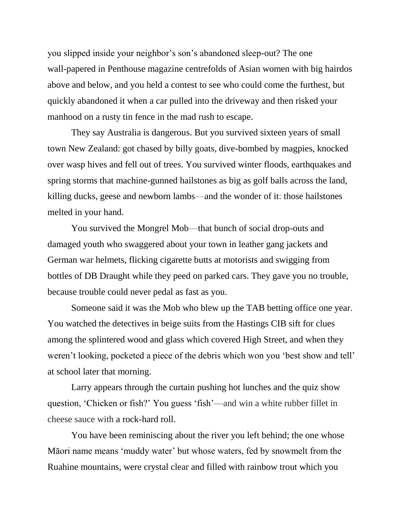you slipped inside your neighbor's son's abandoned sleep-out? The one wall-papered in Penthouse magazine centrefolds of Asian women with big hairdos above and below, and you held a contest to see who could come the furthest, but quickly abandoned it when a car pulled into the driveway and then risked your manhood on a rusty tin fence in the mad rush to escape.

They say Australia is dangerous. But you survived sixteen years of small town New Zealand: got chased by billy goats, dive-bombed by magpies, knocked over wasp hives and fell out of trees. You survived winter floods, earthquakes and spring storms that machine-gunned hailstones as big as golf balls across the land, killing ducks, geese and newborn lambs—and the wonder of it: those hailstones melted in your hand.

You survived the Mongrel Mob—that bunch of social drop-outs and damaged youth who swaggered about your town in leather gang jackets and German war helmets, flicking cigarette butts at motorists and swigging from bottles of DB Draught while they peed on parked cars. They gave you no trouble, because trouble could never pedal as fast as you.

Someone said it was the Mob who blew up the TAB betting office one year. You watched the detectives in beige suits from the Hastings CIB sift for clues among the splintered wood and glass which covered High Street, and when they weren't looking, pocketed a piece of the debris which won you 'best show and tell' at school later that morning.

Larry appears through the curtain pushing hot lunches and the quiz show question, 'Chicken or fish?' You guess 'fish'—and win a white rubber fillet in cheese sauce with a rock-hard roll.

You have been reminiscing about the river you left behind; the one whose Māori name means 'muddy water' but whose waters, fed by snowmelt from the Ruahine mountains, were crystal clear and filled with rainbow trout which you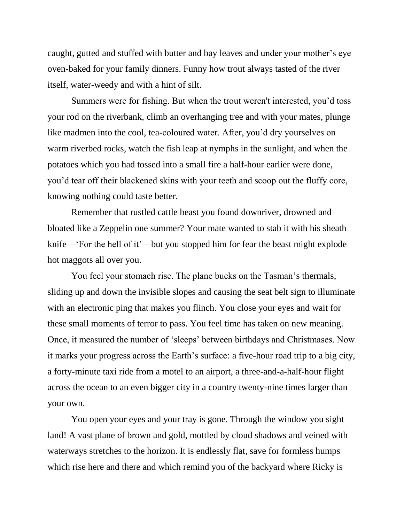caught, gutted and stuffed with butter and bay leaves and under your mother's eye oven-baked for your family dinners. Funny how trout always tasted of the river itself, water-weedy and with a hint of silt.

Summers were for fishing. But when the trout weren't interested, you'd toss your rod on the riverbank, climb an overhanging tree and with your mates, plunge like madmen into the cool, tea-coloured water. After, you'd dry yourselves on warm riverbed rocks, watch the fish leap at nymphs in the sunlight, and when the potatoes which you had tossed into a small fire a half-hour earlier were done, you'd tear off their blackened skins with your teeth and scoop out the fluffy core, knowing nothing could taste better.

Remember that rustled cattle beast you found downriver, drowned and bloated like a Zeppelin one summer? Your mate wanted to stab it with his sheath knife—'For the hell of it'—but you stopped him for fear the beast might explode hot maggots all over you.

You feel your stomach rise. The plane bucks on the Tasman's thermals, sliding up and down the invisible slopes and causing the seat belt sign to illuminate with an electronic ping that makes you flinch. You close your eyes and wait for these small moments of terror to pass. You feel time has taken on new meaning. Once, it measured the number of 'sleeps' between birthdays and Christmases. Now it marks your progress across the Earth's surface: a five-hour road trip to a big city, a forty-minute taxi ride from a motel to an airport, a three-and-a-half-hour flight across the ocean to an even bigger city in a country twenty-nine times larger than your own.

You open your eyes and your tray is gone. Through the window you sight land! A vast plane of brown and gold, mottled by cloud shadows and veined with waterways stretches to the horizon. It is endlessly flat, save for formless humps which rise here and there and which remind you of the backyard where Ricky is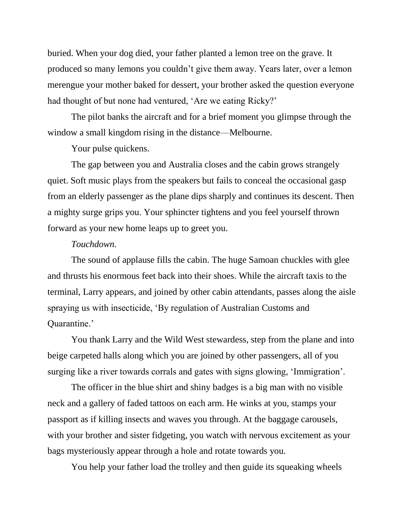buried. When your dog died, your father planted a lemon tree on the grave. It produced so many lemons you couldn't give them away. Years later, over a lemon merengue your mother baked for dessert, your brother asked the question everyone had thought of but none had ventured, 'Are we eating Ricky?'

The pilot banks the aircraft and for a brief moment you glimpse through the window a small kingdom rising in the distance—Melbourne.

Your pulse quickens.

The gap between you and Australia closes and the cabin grows strangely quiet. Soft music plays from the speakers but fails to conceal the occasional gasp from an elderly passenger as the plane dips sharply and continues its descent. Then a mighty surge grips you. Your sphincter tightens and you feel yourself thrown forward as your new home leaps up to greet you.

## *Touchdown.*

The sound of applause fills the cabin. The huge Samoan chuckles with glee and thrusts his enormous feet back into their shoes. While the aircraft taxis to the terminal, Larry appears, and joined by other cabin attendants, passes along the aisle spraying us with insecticide, 'By regulation of Australian Customs and Quarantine.'

You thank Larry and the Wild West stewardess, step from the plane and into beige carpeted halls along which you are joined by other passengers, all of you surging like a river towards corrals and gates with signs glowing, 'Immigration'.

The officer in the blue shirt and shiny badges is a big man with no visible neck and a gallery of faded tattoos on each arm. He winks at you, stamps your passport as if killing insects and waves you through. At the baggage carousels, with your brother and sister fidgeting, you watch with nervous excitement as your bags mysteriously appear through a hole and rotate towards you.

You help your father load the trolley and then guide its squeaking wheels